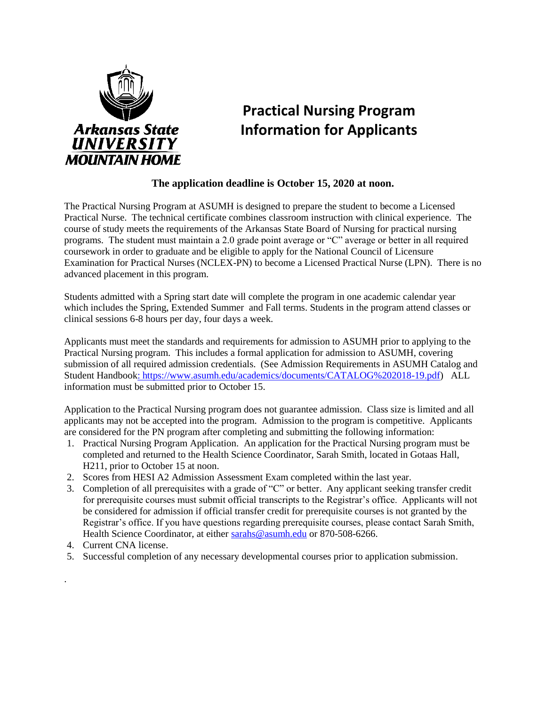

# **Practical Nursing Program Information for Applicants**

#### **The application deadline is October 15, 2020 at noon.**

The Practical Nursing Program at ASUMH is designed to prepare the student to become a Licensed Practical Nurse. The technical certificate combines classroom instruction with clinical experience. The course of study meets the requirements of the Arkansas State Board of Nursing for practical nursing programs. The student must maintain a 2.0 grade point average or "C" average or better in all required coursework in order to graduate and be eligible to apply for the National Council of Licensure Examination for Practical Nurses (NCLEX-PN) to become a Licensed Practical Nurse (LPN). There is no advanced placement in this program.

Students admitted with a Spring start date will complete the program in one academic calendar year which includes the Spring, Extended Summer and Fall terms. Students in the program attend classes or clinical sessions 6-8 hours per day, four days a week.

Applicants must meet the standards and requirements for admission to ASUMH prior to applying to the Practical Nursing program. This includes a formal application for admission to ASUMH, covering submission of all required admission credentials. (See Admission Requirements in ASUMH Catalog and Student Handbook: [https://www.asumh.edu/academics/documents/CATALOG%202018-19.pdf\)](file://///asumh-fileprint/fac_hmdir$/sarahs/LPN/:%20https:/www.asumh.edu/academics/documents/CATALOG%202018-19.pdf) ALL information must be submitted prior to October 15.

Application to the Practical Nursing program does not guarantee admission. Class size is limited and all applicants may not be accepted into the program. Admission to the program is competitive. Applicants are considered for the PN program after completing and submitting the following information:

- 1. Practical Nursing Program Application. An application for the Practical Nursing program must be completed and returned to the Health Science Coordinator, Sarah Smith, located in Gotaas Hall, H211, prior to October 15 at noon.
- 2. Scores from HESI A2 Admission Assessment Exam completed within the last year.
- 3. Completion of all prerequisites with a grade of "C" or better. Any applicant seeking transfer credit for prerequisite courses must submit official transcripts to the Registrar's office. Applicants will not be considered for admission if official transfer credit for prerequisite courses is not granted by the Registrar's office. If you have questions regarding prerequisite courses, please contact Sarah Smith, Health Science Coordinator, at either [sarahs@asumh.edu](mailto:sarahs@asumh.edu) or 870-508-6266.
- 4. Current CNA license.

.

5. Successful completion of any necessary developmental courses prior to application submission.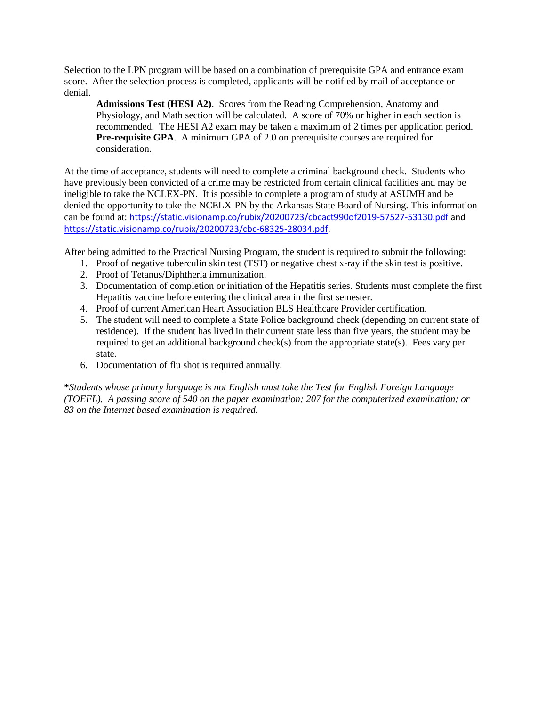Selection to the LPN program will be based on a combination of prerequisite GPA and entrance exam score. After the selection process is completed, applicants will be notified by mail of acceptance or denial.

**Admissions Test (HESI A2)**. Scores from the Reading Comprehension, Anatomy and Physiology, and Math section will be calculated. A score of 70% or higher in each section is recommended. The HESI A2 exam may be taken a maximum of 2 times per application period. **Pre-requisite GPA**. A minimum GPA of 2.0 on prerequisite courses are required for consideration.

At the time of acceptance, students will need to complete a criminal background check. Students who have previously been convicted of a crime may be restricted from certain clinical facilities and may be ineligible to take the NCLEX-PN. It is possible to complete a program of study at ASUMH and be denied the opportunity to take the NCELX-PN by the Arkansas State Board of Nursing. This information can be found at: <https://static.visionamp.co/rubix/20200723/cbcact990of2019-57527-53130.pdf> and [https://static.visionamp.co/rubix/20200723/cbc-68325-28034.pdf.](https://static.visionamp.co/rubix/20200723/cbc-68325-28034.pdf)

After being admitted to the Practical Nursing Program, the student is required to submit the following:

- 1. Proof of negative tuberculin skin test (TST) or negative chest x-ray if the skin test is positive.
- 2. Proof of Tetanus/Diphtheria immunization.
- 3. Documentation of completion or initiation of the Hepatitis series. Students must complete the first Hepatitis vaccine before entering the clinical area in the first semester.
- 4. Proof of current American Heart Association BLS Healthcare Provider certification.
- 5. The student will need to complete a State Police background check (depending on current state of residence). If the student has lived in their current state less than five years, the student may be required to get an additional background check(s) from the appropriate state(s). Fees vary per state.
- 6. Documentation of flu shot is required annually.

**\****Students whose primary language is not English must take the Test for English Foreign Language (TOEFL). A passing score of 540 on the paper examination; 207 for the computerized examination; or 83 on the Internet based examination is required.*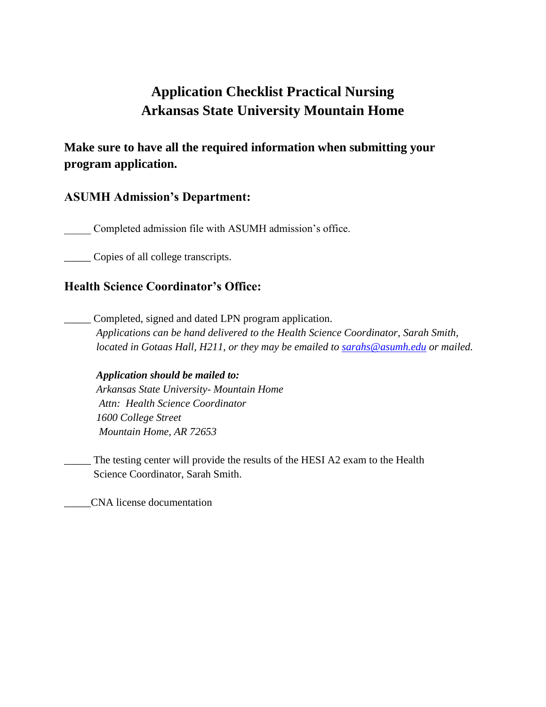# **Application Checklist Practical Nursing Arkansas State University Mountain Home**

# **Make sure to have all the required information when submitting your program application.**

## **ASUMH Admission's Department:**

Completed admission file with ASUMH admission's office.

\_\_\_\_\_ Copies of all college transcripts.

## **Health Science Coordinator's Office:**

Completed, signed and dated LPN program application.  *Applications can be hand delivered to the Health Science Coordinator, Sarah Smith, located in Gotaas Hall, H211, or they may be emailed to [sarahs@asumh.edu](mailto:sarahs@asumh.edu) or mailed.*

#### *Application should be mailed to:*

*Arkansas State University- Mountain Home Attn: Health Science Coordinator 1600 College Street Mountain Home, AR 72653*

The testing center will provide the results of the HESI A2 exam to the Health Science Coordinator, Sarah Smith.

\_\_\_\_\_CNA license documentation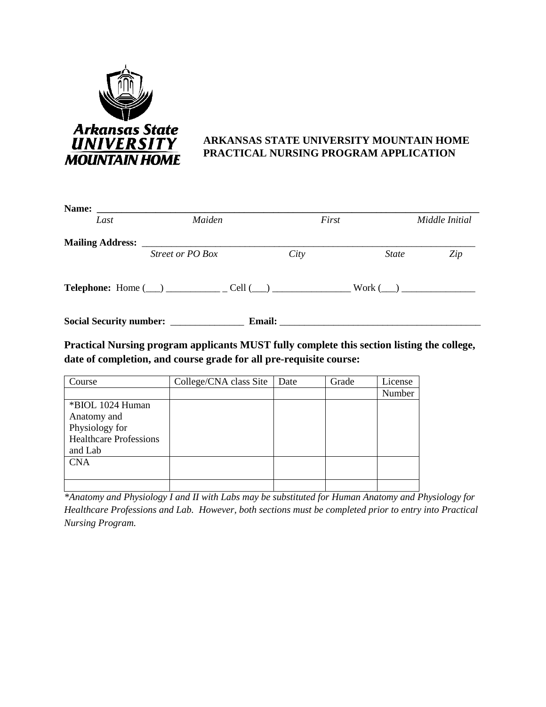

### **ARKANSAS STATE UNIVERSITY MOUNTAIN HOME PRACTICAL NURSING PROGRAM APPLICATION**

| Name:                   |                                                                                                                                           |                                                                                                                                                                                                                                |              |                |
|-------------------------|-------------------------------------------------------------------------------------------------------------------------------------------|--------------------------------------------------------------------------------------------------------------------------------------------------------------------------------------------------------------------------------|--------------|----------------|
| Last                    | Maiden                                                                                                                                    | First                                                                                                                                                                                                                          |              | Middle Initial |
| <b>Mailing Address:</b> | <u> 1980 - Jan Stein Stein Stein Stein Stein Stein Stein Stein Stein Stein Stein Stein Stein Stein Stein Stein St</u><br>Street or PO Box | City                                                                                                                                                                                                                           | <i>State</i> | Zip            |
|                         | <b>Telephone:</b> Home $(\_\_)$ $\_\_$ Cell $(\_\_)$                                                                                      |                                                                                                                                                                                                                                |              | $Work (\_\_)$  |
|                         | Social Security number: ___________                                                                                                       | Email: The contract of the contract of the contract of the contract of the contract of the contract of the contract of the contract of the contract of the contract of the contract of the contract of the contract of the con |              |                |

**Practical Nursing program applicants MUST fully complete this section listing the college, date of completion, and course grade for all pre-requisite course:**

| Course                        | College/CNA class Site | Date | Grade | License |
|-------------------------------|------------------------|------|-------|---------|
|                               |                        |      |       | Number  |
| *BIOL 1024 Human              |                        |      |       |         |
| Anatomy and                   |                        |      |       |         |
| Physiology for                |                        |      |       |         |
| <b>Healthcare Professions</b> |                        |      |       |         |
| and Lab                       |                        |      |       |         |
| <b>CNA</b>                    |                        |      |       |         |
|                               |                        |      |       |         |
|                               |                        |      |       |         |

*\*Anatomy and Physiology I and II with Labs may be substituted for Human Anatomy and Physiology for Healthcare Professions and Lab. However, both sections must be completed prior to entry into Practical Nursing Program.*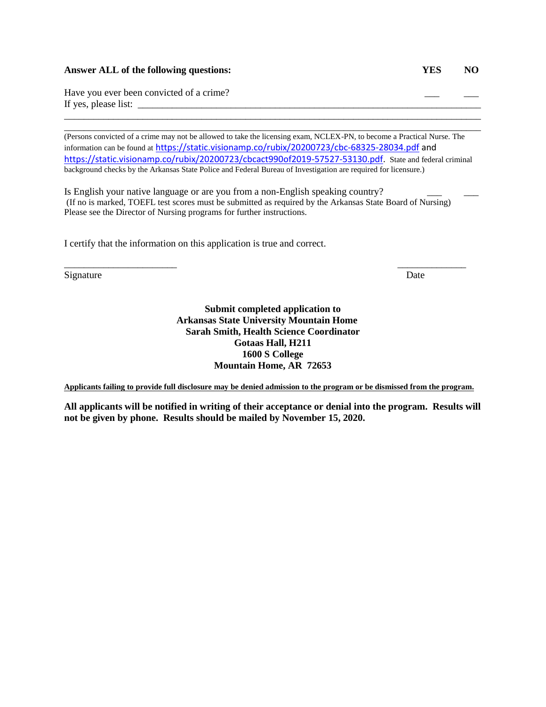#### **Answer ALL of the following questions: YES NO**

Have you ever been convicted of a crime? If yes, please list:

(Persons convicted of a crime may not be allowed to take the licensing exam, NCLEX-PN, to become a Practical Nurse. The information can be found at <https://static.visionamp.co/rubix/20200723/cbc-68325-28034.pdf> and [https://static.visionamp.co/rubix/20200723/cbcact990of2019-57527-53130.pdf.](https://static.visionamp.co/rubix/20200723/cbcact990of2019-57527-53130.pdf) State and federal criminal background checks by the Arkansas State Police and Federal Bureau of Investigation are required for licensure.)

\_\_\_\_\_\_\_\_\_\_\_\_\_\_\_\_\_\_\_\_\_\_\_\_\_\_\_\_\_\_\_\_\_\_\_\_\_\_\_\_\_\_\_\_\_\_\_\_\_\_\_\_\_\_\_\_\_\_\_\_\_\_\_\_\_\_\_\_\_\_\_\_\_\_\_\_\_\_\_\_\_\_\_\_\_ \_\_\_\_\_\_\_\_\_\_\_\_\_\_\_\_\_\_\_\_\_\_\_\_\_\_\_\_\_\_\_\_\_\_\_\_\_\_\_\_\_\_\_\_\_\_\_\_\_\_\_\_\_\_\_\_\_\_\_\_\_\_\_\_\_\_\_\_\_\_\_\_\_\_\_\_\_\_\_\_\_\_\_\_\_

Is English your native language or are you from a non-English speaking country? (If no is marked, TOEFL test scores must be submitted as required by the Arkansas State Board of Nursing) Please see the Director of Nursing programs for further instructions.

I certify that the information on this application is true and correct.

Signature Date

**Submit completed application to Arkansas State University Mountain Home Sarah Smith, Health Science Coordinator Gotaas Hall, H211 1600 S College Mountain Home, AR 72653**

\_\_\_\_\_\_\_\_\_\_\_\_\_\_\_\_\_\_\_\_\_\_\_ \_\_\_\_\_\_\_\_\_\_\_\_\_\_

**Applicants failing to provide full disclosure may be denied admission to the program or be dismissed from the program.**

**All applicants will be notified in writing of their acceptance or denial into the program. Results will not be given by phone. Results should be mailed by November 15, 2020.**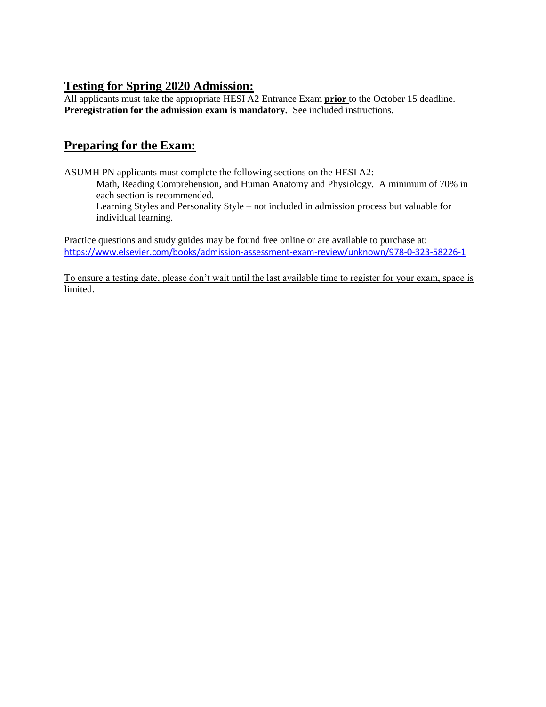### **Testing for Spring 2020 Admission:**

All applicants must take the appropriate HESI A2 Entrance Exam **prior** to the October 15 deadline. Preregistration for the admission exam is mandatory. See included instructions.

# **Preparing for the Exam:**

ASUMH PN applicants must complete the following sections on the HESI A2:

Math, Reading Comprehension, and Human Anatomy and Physiology. A minimum of 70% in each section is recommended.

Learning Styles and Personality Style – not included in admission process but valuable for individual learning.

Practice questions and study guides may be found free online or are available to purchase at: <https://www.elsevier.com/books/admission-assessment-exam-review/unknown/978-0-323-58226-1>

To ensure a testing date, please don't wait until the last available time to register for your exam, space is limited.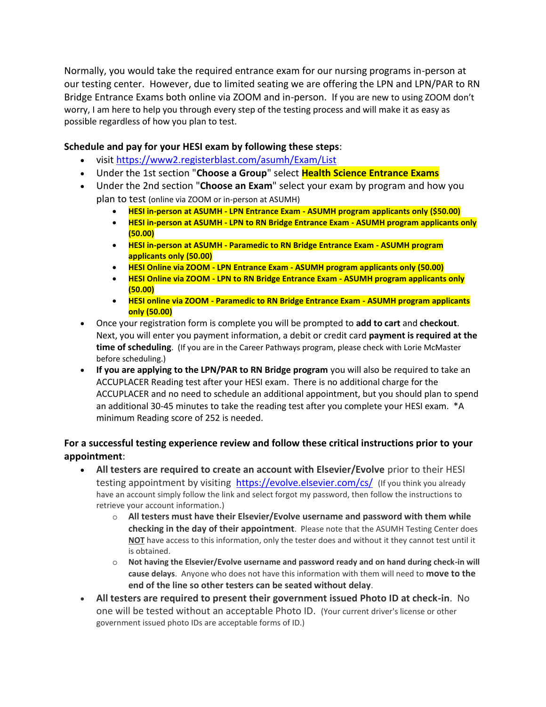Normally, you would take the required entrance exam for our nursing programs in-person at our testing center. However, due to limited seating we are offering the LPN and LPN/PAR to RN Bridge Entrance Exams both online via ZOOM and in-person. If you are new to using ZOOM don't worry, I am here to help you through every step of the testing process and will make it as easy as possible regardless of how you plan to test.

#### **Schedule and pay for your HESI exam by following these steps**:

- visit<https://www2.registerblast.com/asumh/Exam/List>
- Under the 1st section "**Choose a Group**" select **Health Science Entrance Exams**
- Under the 2nd section "**Choose an Exam**" select your exam by program and how you plan to test (online via ZOOM or in-person at ASUMH)
	- **HESI in-person at ASUMH - LPN Entrance Exam - ASUMH program applicants only (\$50.00)**
	- **HESI in-person at ASUMH - LPN to RN Bridge Entrance Exam - ASUMH program applicants only (50.00)**
	- **HESI in-person at ASUMH - Paramedic to RN Bridge Entrance Exam - ASUMH program applicants only (50.00)**
	- **HESI Online via ZOOM - LPN Entrance Exam - ASUMH program applicants only (50.00)**
	- **HESI Online via ZOOM - LPN to RN Bridge Entrance Exam - ASUMH program applicants only (50.00)**
	- **HESI online via ZOOM - Paramedic to RN Bridge Entrance Exam - ASUMH program applicants only (50.00)**
- Once your registration form is complete you will be prompted to **add to cart** and **checkout**. Next, you will enter you payment information, a debit or credit card **payment is required at the time of scheduling**. (If you are in the Career Pathways program, please check with Lorie McMaster before scheduling.)
- **If you are applying to the LPN/PAR to RN Bridge program** you will also be required to take an ACCUPLACER Reading test after your HESI exam. There is no additional charge for the ACCUPLACER and no need to schedule an additional appointment, but you should plan to spend an additional 30-45 minutes to take the reading test after you complete your HESI exam. \*A minimum Reading score of 252 is needed.

#### **For a successful testing experience review and follow these critical instructions prior to your appointment**:

- **All testers are required to create an account with Elsevier/Evolve** prior to their HESI testing appointment by visiting <https://evolve.elsevier.com/cs/> (If you think you already have an account simply follow the link and select forgot my password, then follow the instructions to retrieve your account information.)
	- o **All testers must have their Elsevier/Evolve username and password with them while checking in the day of their appointment**. Please note that the ASUMH Testing Center does **NOT** have access to this information, only the tester does and without it they cannot test until it is obtained.
	- o **Not having the Elsevier/Evolve username and password ready and on hand during check-in will cause delays**. Anyone who does not have this information with them will need to **move to the end of the line so other testers can be seated without delay**.
- **All testers are required to present their government issued Photo ID at check-in**. No one will be tested without an acceptable Photo ID. (Your current driver's license or other government issued photo IDs are acceptable forms of ID.)